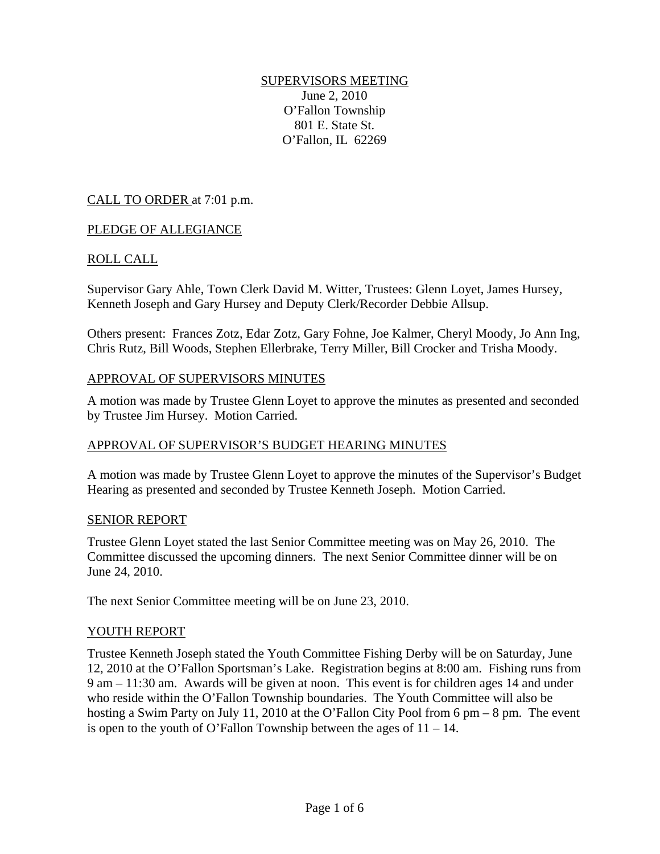## SUPERVISORS MEETING

June 2, 2010 O'Fallon Township 801 E. State St. O'Fallon, IL 62269

## CALL TO ORDER at 7:01 p.m.

### PLEDGE OF ALLEGIANCE

## ROLL CALL

Supervisor Gary Ahle, Town Clerk David M. Witter, Trustees: Glenn Loyet, James Hursey, Kenneth Joseph and Gary Hursey and Deputy Clerk/Recorder Debbie Allsup.

Others present: Frances Zotz, Edar Zotz, Gary Fohne, Joe Kalmer, Cheryl Moody, Jo Ann Ing, Chris Rutz, Bill Woods, Stephen Ellerbrake, Terry Miller, Bill Crocker and Trisha Moody.

#### APPROVAL OF SUPERVISORS MINUTES

A motion was made by Trustee Glenn Loyet to approve the minutes as presented and seconded by Trustee Jim Hursey. Motion Carried.

### APPROVAL OF SUPERVISOR'S BUDGET HEARING MINUTES

A motion was made by Trustee Glenn Loyet to approve the minutes of the Supervisor's Budget Hearing as presented and seconded by Trustee Kenneth Joseph. Motion Carried.

### SENIOR REPORT

Trustee Glenn Loyet stated the last Senior Committee meeting was on May 26, 2010. The Committee discussed the upcoming dinners. The next Senior Committee dinner will be on June 24, 2010.

The next Senior Committee meeting will be on June 23, 2010.

### YOUTH REPORT

Trustee Kenneth Joseph stated the Youth Committee Fishing Derby will be on Saturday, June 12, 2010 at the O'Fallon Sportsman's Lake. Registration begins at 8:00 am. Fishing runs from 9 am – 11:30 am. Awards will be given at noon. This event is for children ages 14 and under who reside within the O'Fallon Township boundaries. The Youth Committee will also be hosting a Swim Party on July 11, 2010 at the O'Fallon City Pool from 6 pm – 8 pm. The event is open to the youth of O'Fallon Township between the ages of  $11 - 14$ .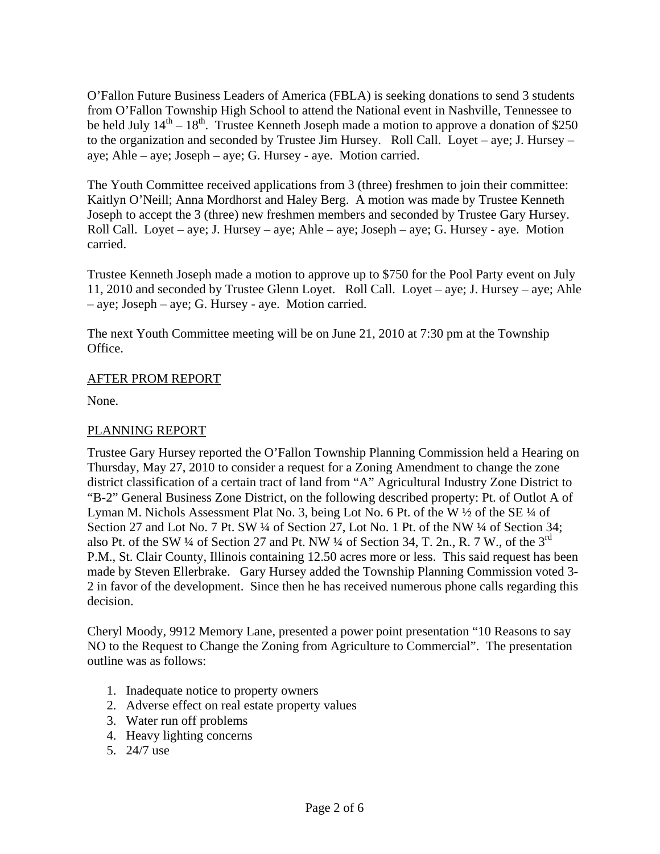O'Fallon Future Business Leaders of America (FBLA) is seeking donations to send 3 students from O'Fallon Township High School to attend the National event in Nashville, Tennessee to be held July  $14<sup>th</sup> - 18<sup>th</sup>$ . Trustee Kenneth Joseph made a motion to approve a donation of \$250 to the organization and seconded by Trustee Jim Hursey. Roll Call. Loyet – aye; J. Hursey – aye; Ahle – aye; Joseph – aye; G. Hursey - aye. Motion carried.

The Youth Committee received applications from 3 (three) freshmen to join their committee: Kaitlyn O'Neill; Anna Mordhorst and Haley Berg. A motion was made by Trustee Kenneth Joseph to accept the 3 (three) new freshmen members and seconded by Trustee Gary Hursey. Roll Call. Loyet – aye; J. Hursey – aye; Ahle – aye; Joseph – aye; G. Hursey - aye. Motion carried.

Trustee Kenneth Joseph made a motion to approve up to \$750 for the Pool Party event on July 11, 2010 and seconded by Trustee Glenn Loyet. Roll Call. Loyet – aye; J. Hursey – aye; Ahle – aye; Joseph – aye; G. Hursey - aye. Motion carried.

The next Youth Committee meeting will be on June 21, 2010 at 7:30 pm at the Township Office.

## AFTER PROM REPORT

None.

# PLANNING REPORT

Trustee Gary Hursey reported the O'Fallon Township Planning Commission held a Hearing on Thursday, May 27, 2010 to consider a request for a Zoning Amendment to change the zone district classification of a certain tract of land from "A" Agricultural Industry Zone District to "B-2" General Business Zone District, on the following described property: Pt. of Outlot A of Lyman M. Nichols Assessment Plat No. 3, being Lot No. 6 Pt. of the W  $\frac{1}{2}$  of the SE  $\frac{1}{4}$  of Section 27 and Lot No. 7 Pt. SW ¼ of Section 27, Lot No. 1 Pt. of the NW ¼ of Section 34; also Pt. of the SW  $\frac{1}{4}$  of Section 27 and Pt. NW  $\frac{1}{4}$  of Section 34, T. 2n., R. 7 W., of the 3<sup>rd</sup> P.M., St. Clair County, Illinois containing 12.50 acres more or less. This said request has been made by Steven Ellerbrake. Gary Hursey added the Township Planning Commission voted 3- 2 in favor of the development. Since then he has received numerous phone calls regarding this decision.

Cheryl Moody, 9912 Memory Lane, presented a power point presentation "10 Reasons to say NO to the Request to Change the Zoning from Agriculture to Commercial". The presentation outline was as follows:

- 1. Inadequate notice to property owners
- 2. Adverse effect on real estate property values
- 3. Water run off problems
- 4. Heavy lighting concerns
- 5. 24/7 use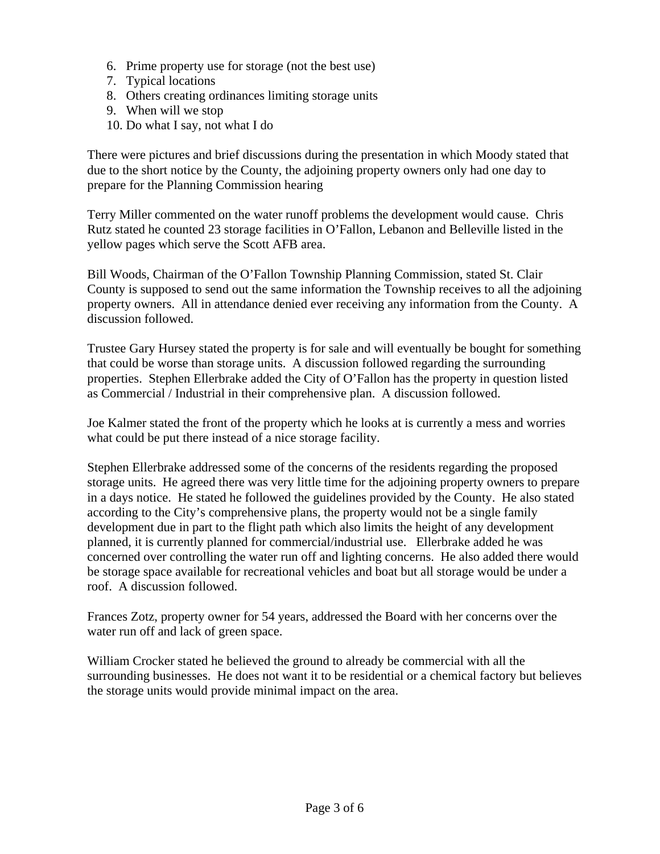- 6. Prime property use for storage (not the best use)
- 7. Typical locations
- 8. Others creating ordinances limiting storage units
- 9. When will we stop
- 10. Do what I say, not what I do

There were pictures and brief discussions during the presentation in which Moody stated that due to the short notice by the County, the adjoining property owners only had one day to prepare for the Planning Commission hearing

Terry Miller commented on the water runoff problems the development would cause. Chris Rutz stated he counted 23 storage facilities in O'Fallon, Lebanon and Belleville listed in the yellow pages which serve the Scott AFB area.

Bill Woods, Chairman of the O'Fallon Township Planning Commission, stated St. Clair County is supposed to send out the same information the Township receives to all the adjoining property owners. All in attendance denied ever receiving any information from the County. A discussion followed.

Trustee Gary Hursey stated the property is for sale and will eventually be bought for something that could be worse than storage units. A discussion followed regarding the surrounding properties. Stephen Ellerbrake added the City of O'Fallon has the property in question listed as Commercial / Industrial in their comprehensive plan. A discussion followed.

Joe Kalmer stated the front of the property which he looks at is currently a mess and worries what could be put there instead of a nice storage facility.

Stephen Ellerbrake addressed some of the concerns of the residents regarding the proposed storage units. He agreed there was very little time for the adjoining property owners to prepare in a days notice. He stated he followed the guidelines provided by the County. He also stated according to the City's comprehensive plans, the property would not be a single family development due in part to the flight path which also limits the height of any development planned, it is currently planned for commercial/industrial use. Ellerbrake added he was concerned over controlling the water run off and lighting concerns. He also added there would be storage space available for recreational vehicles and boat but all storage would be under a roof. A discussion followed.

Frances Zotz, property owner for 54 years, addressed the Board with her concerns over the water run off and lack of green space.

William Crocker stated he believed the ground to already be commercial with all the surrounding businesses. He does not want it to be residential or a chemical factory but believes the storage units would provide minimal impact on the area.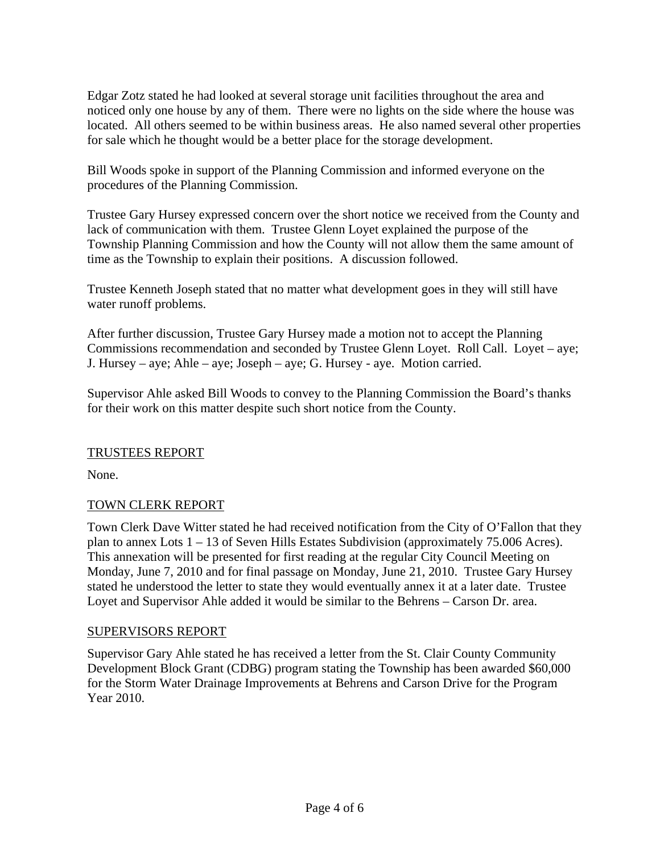Edgar Zotz stated he had looked at several storage unit facilities throughout the area and noticed only one house by any of them. There were no lights on the side where the house was located. All others seemed to be within business areas. He also named several other properties for sale which he thought would be a better place for the storage development.

Bill Woods spoke in support of the Planning Commission and informed everyone on the procedures of the Planning Commission.

Trustee Gary Hursey expressed concern over the short notice we received from the County and lack of communication with them. Trustee Glenn Loyet explained the purpose of the Township Planning Commission and how the County will not allow them the same amount of time as the Township to explain their positions. A discussion followed.

Trustee Kenneth Joseph stated that no matter what development goes in they will still have water runoff problems.

After further discussion, Trustee Gary Hursey made a motion not to accept the Planning Commissions recommendation and seconded by Trustee Glenn Loyet. Roll Call. Loyet – aye; J. Hursey – aye; Ahle – aye; Joseph – aye; G. Hursey - aye. Motion carried.

Supervisor Ahle asked Bill Woods to convey to the Planning Commission the Board's thanks for their work on this matter despite such short notice from the County.

### TRUSTEES REPORT

None.

# TOWN CLERK REPORT

Town Clerk Dave Witter stated he had received notification from the City of O'Fallon that they plan to annex Lots 1 – 13 of Seven Hills Estates Subdivision (approximately 75.006 Acres). This annexation will be presented for first reading at the regular City Council Meeting on Monday, June 7, 2010 and for final passage on Monday, June 21, 2010. Trustee Gary Hursey stated he understood the letter to state they would eventually annex it at a later date. Trustee Loyet and Supervisor Ahle added it would be similar to the Behrens – Carson Dr. area.

### SUPERVISORS REPORT

Supervisor Gary Ahle stated he has received a letter from the St. Clair County Community Development Block Grant (CDBG) program stating the Township has been awarded \$60,000 for the Storm Water Drainage Improvements at Behrens and Carson Drive for the Program Year 2010.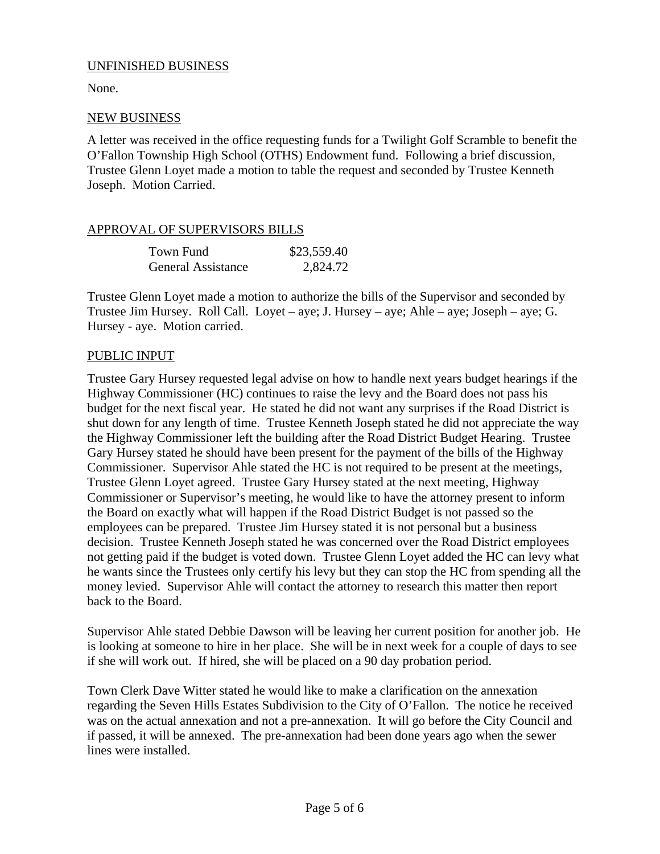### UNFINISHED BUSINESS

None.

## NEW BUSINESS

A letter was received in the office requesting funds for a Twilight Golf Scramble to benefit the O'Fallon Township High School (OTHS) Endowment fund. Following a brief discussion, Trustee Glenn Loyet made a motion to table the request and seconded by Trustee Kenneth Joseph. Motion Carried.

## APPROVAL OF SUPERVISORS BILLS

| Town Fund                 | \$23,559.40 |
|---------------------------|-------------|
| <b>General Assistance</b> | 2,824.72    |

Trustee Glenn Loyet made a motion to authorize the bills of the Supervisor and seconded by Trustee Jim Hursey. Roll Call. Loyet – aye; J. Hursey – aye; Ahle – aye; Joseph – aye; G. Hursey - aye. Motion carried.

## PUBLIC INPUT

Trustee Gary Hursey requested legal advise on how to handle next years budget hearings if the Highway Commissioner (HC) continues to raise the levy and the Board does not pass his budget for the next fiscal year. He stated he did not want any surprises if the Road District is shut down for any length of time. Trustee Kenneth Joseph stated he did not appreciate the way the Highway Commissioner left the building after the Road District Budget Hearing. Trustee Gary Hursey stated he should have been present for the payment of the bills of the Highway Commissioner. Supervisor Ahle stated the HC is not required to be present at the meetings, Trustee Glenn Loyet agreed. Trustee Gary Hursey stated at the next meeting, Highway Commissioner or Supervisor's meeting, he would like to have the attorney present to inform the Board on exactly what will happen if the Road District Budget is not passed so the employees can be prepared. Trustee Jim Hursey stated it is not personal but a business decision. Trustee Kenneth Joseph stated he was concerned over the Road District employees not getting paid if the budget is voted down. Trustee Glenn Loyet added the HC can levy what he wants since the Trustees only certify his levy but they can stop the HC from spending all the money levied. Supervisor Ahle will contact the attorney to research this matter then report back to the Board.

Supervisor Ahle stated Debbie Dawson will be leaving her current position for another job. He is looking at someone to hire in her place. She will be in next week for a couple of days to see if she will work out. If hired, she will be placed on a 90 day probation period.

Town Clerk Dave Witter stated he would like to make a clarification on the annexation regarding the Seven Hills Estates Subdivision to the City of O'Fallon. The notice he received was on the actual annexation and not a pre-annexation. It will go before the City Council and if passed, it will be annexed. The pre-annexation had been done years ago when the sewer lines were installed.